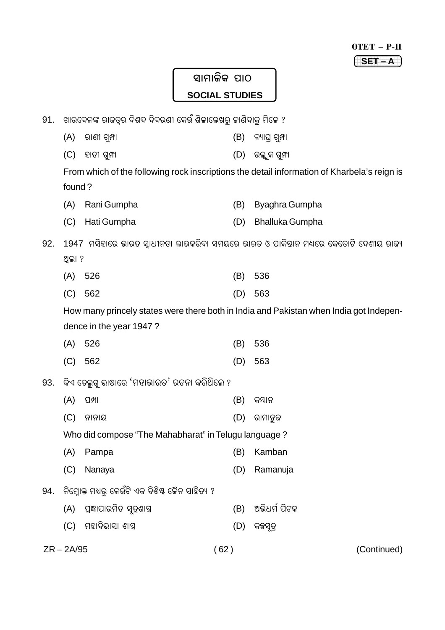| OTET | ш |
|------|---|
|      |   |

# \_<br>ସାମାଜିକ ପାଠ **SOCIAL STUDIES**

| 91. | ଖାରବେଳଙ୍କ ରାଜତ୍ୱର ବିଶଦ ବିବରଣୀ କେଉଁ ଶିଳାଲେଖରୁ ଜାଣିବାକୁ ମିଳେ ? |                                                      |      |                                                                                             |  |
|-----|--------------------------------------------------------------|------------------------------------------------------|------|---------------------------------------------------------------------------------------------|--|
|     | (A)                                                          | ରାଣୀ ଗୁମ୍ଫା                                          | (B)  | ବ୍ୟାଘ୍ର ଗୁମ୍ଫା                                                                              |  |
|     | (C)                                                          | ହାତୀ ଗୁମ୍ଫା                                          | (D)  | ଉଲ୍ଲୁକ ଗୁମ୍ଫା                                                                               |  |
|     |                                                              |                                                      |      | From which of the following rock inscriptions the detail information of Kharbela's reign is |  |
|     | found?                                                       |                                                      |      |                                                                                             |  |
|     | (A)                                                          | Rani Gumpha                                          | (B)  | Byaghra Gumpha                                                                              |  |
|     | (C)                                                          | Hati Gumpha                                          | (D)  | <b>Bhalluka Gumpha</b>                                                                      |  |
| 92. |                                                              |                                                      |      | 1947 ମସିହାରେ ଭାରତ ସ୍ୱାଧୀନତା ଲାଭକରିବା ସମୟରେ ଭାରତ ଓ ପାକିଷାନ ମଧ୍ୟରେ କେତୋଟି ଦେଶୀୟ ରାଜ୍ୟ         |  |
|     | ଥିଲା ?                                                       |                                                      |      |                                                                                             |  |
|     | (A)                                                          | 526                                                  | (B)  | 536                                                                                         |  |
|     | (C)                                                          | 562                                                  | (D)  | 563                                                                                         |  |
|     |                                                              |                                                      |      | How many princely states were there both in India and Pakistan when India got Indepen-      |  |
|     |                                                              | dence in the year 1947?                              |      |                                                                                             |  |
|     | (A)                                                          | 526                                                  | (B)  | 536                                                                                         |  |
|     | (C)                                                          | 562                                                  | (D)  | 563                                                                                         |  |
| 93. |                                                              | କିଏ ତେଲୁଗୁ ଭାଷାରେ 'ମହାଭାରତ' ରଚନା କରିଥିଲେ ?           |      |                                                                                             |  |
|     | (A)                                                          | ପମ୍ପା                                                | (B)  | କୟାନ                                                                                        |  |
|     | (C)                                                          | ନାନାୟ                                                | (D)  | ରାମାନୁକ                                                                                     |  |
|     |                                                              | Who did compose "The Mahabharat" in Telugu language? |      |                                                                                             |  |
|     | (A)                                                          | Pampa                                                | (B)  | Kamban                                                                                      |  |
|     | (C)                                                          | Nanaya                                               | (D)  | Ramanuja                                                                                    |  |
| 94. |                                                              | ନିମ୍ନୋକ୍ତ ମଧ୍ୟରୁ କେଉଁଟି ଏକ ବିଶିଷ୍ଟ ଜୈନ ସାହିତ୍ୟ ?     |      |                                                                                             |  |
|     | (A)                                                          | ପ୍ରଜ୍ଞାପାରମିତ ସୂତ୍ରଶାସ୍ତ୍ର                           | (B)  | ଅଭିଧର୍ମ ପିଟକ                                                                                |  |
|     | (C)                                                          | ମହାବିଭାସା ଶାସ୍ତ୍ର                                    | (D)  | କନ୍ଧସୂତ୍ର                                                                                   |  |
|     | $ZR - 2A/95$                                                 |                                                      | (62) | (Continued)                                                                                 |  |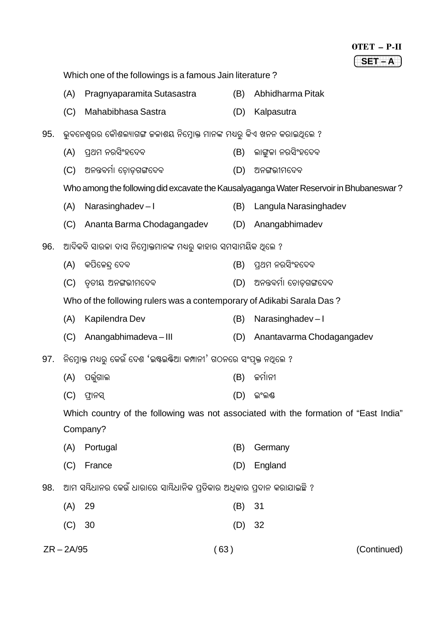|     |              |                                                                         |      | OTET - P-II                                                                            |
|-----|--------------|-------------------------------------------------------------------------|------|----------------------------------------------------------------------------------------|
|     |              |                                                                         |      | $SET - A$                                                                              |
|     |              | Which one of the followings is a famous Jain literature?                |      |                                                                                        |
|     | (A)          | Pragnyaparamita Sutasastra                                              | (B)  | Abhidharma Pitak                                                                       |
|     | (C)          | Mahabibhasa Sastra                                                      | (D)  | Kalpasutra                                                                             |
| 95. |              | ଭୁବନେଶ୍ୱରର କୌଶଲ୍ୟାଗଙ୍ଗ ଜଳାଶୟ ନିମ୍ନୋକ୍ତ ମାନଙ୍କ ମଧ୍ୟରୁ କିଏ ଖନନ କରାଇଥିଲେ ? |      |                                                                                        |
|     | (A)          | ପ୍ରଥମ ନରସିଂହଦେବ                                                         | (B)  | ଲାଙ୍ଗଳା ନରସିଂହଦେବ                                                                      |
|     | (C)          | ଅନନ୍ତବର୍ମା ଚୋଡ଼ଗଙ୍ଗଦେବ                                                  | (D)  | ଅନଙ୍ଗଭୀମଦେବ                                                                            |
|     |              |                                                                         |      | Who among the following did excavate the Kausalyaganga Water Reservoir in Bhubaneswar? |
|     | (A)          | Narasinghadev-I                                                         | (B)  | Langula Narasinghadev                                                                  |
|     | (C)          | Ananta Barma Chodagangadev                                              | (D)  | Anangabhimadev                                                                         |
| 96. |              | ଆଦିକବି ସାରଳା ଦାସ ନିମ୍ନୋକ୍ତମାନଙ୍କ ମଧ୍ୟରୁ କାହାର ସମସାମୟିକ ଥିଲେ ?           |      |                                                                                        |
|     | (A)          | କପିଳେନ୍ଦ୍ ଦେବ                                                           | (B)  | ପ୍ରଥମ ନରସିଂହଦେବ                                                                        |
|     | (C)          | ତୃତୀୟ ଅନଙ୍ଗଭୀମଦେବ                                                       | (D)  | ଅନନ୍ତବର୍ମା ଚୋଡ଼ଗଙ୍ଗଦେବ                                                                 |
|     |              | Who of the following rulers was a contemporary of Adikabi Sarala Das?   |      |                                                                                        |
|     | (A)          | Kapilendra Dev                                                          | (B)  | Narasinghadev-I                                                                        |
|     | (C)          | Anangabhimadeva-III                                                     | (D)  | Anantavarma Chodagangadev                                                              |
| 97. |              | ନିମ୍ନୋକ୍ତ ମଧ୍ୟରୁ କେଉଁ ଦେଶ 'ଇଷ୍ଟଇଷ୍ଟିଆ କମ୍ପାନୀ' ଗଠନରେ ସଂପୃକ୍ତ ନଥିଲେ ?    |      |                                                                                        |
|     |              | $(A)$ ପର୍ତ୍ତୁଗାଲ                                                        |      | (B) କର୍ମାନୀ                                                                            |
|     | (C)          | ଫ୍ରାନସ୍                                                                 | (D)  | ଇଂଲଣ୍ଡ                                                                                 |
|     |              |                                                                         |      | Which country of the following was not associated with the formation of "East India"   |
|     |              | Company?                                                                |      |                                                                                        |
|     | (A)          | Portugal                                                                | (B)  | Germany                                                                                |
|     | (C)          | France                                                                  | (D)  | England                                                                                |
| 98. |              | ଆମ ସୟିଧାନର କେଉଁ ଧାରାରେ ସାୟିଧାନିକ ପ୍ରତିକାର ଅଧିକାର ପ୍ରଦାନ କରାଯାଇଛି ?      |      |                                                                                        |
|     | (A)          | 29                                                                      | (B)  | 31                                                                                     |
|     | (C)          | 30                                                                      | (D)  | 32                                                                                     |
|     | $ZR - 2A/95$ |                                                                         | (63) | (Continued)                                                                            |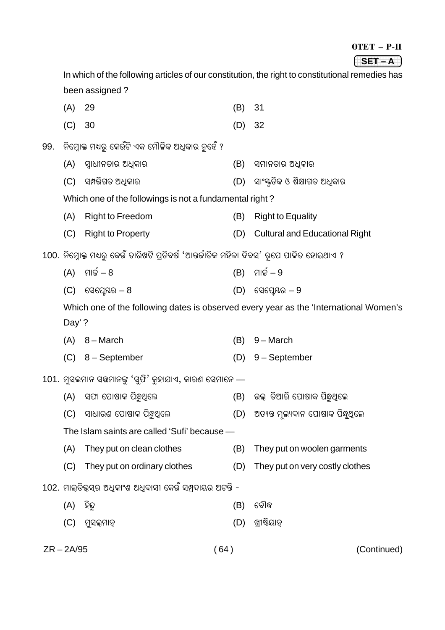#### OTET – P-II

#### 1234 The Control of the Control of the Control of the Control of the Control of the Control of the Control of **(SET – A**)

In which of the following articles of our constitution, the right to constitutional remedies has been assigned ? (A) 29 (B) 31 (C) 30 (D) 32

- 99. ନିମ୍ବୋକ୍ତ ମଧ୍ୟର୍ କେଉଁଟି ଏକ ମୌଳିକ ଅଧିକାର ନହେଁ ?
	- (A) ପ୍ରାଧୀନତାର ଅଧିକାର (B) ସମାନତାର ଅଧିକାର
	- (C) Ó¸ˆÿçS†ÿ A™#LÿæÀÿ (D) ÓæóÔõÿ†ÿçLÿ H ÉçäæS†ÿ A™#LÿæÀÿ

Which one of the followings is not a fundamental right ?

- (A) Right to Freedom (B) Right to Equality
- (C) Right to Property (D) Cultural and Educational Right
- 100. ନିମ୍ନୋକ୍ତ ମଧ୍ୟରୁ କେଉଁ ତାରିଖଟି ପ୍ରତିବର୍ଷ 'ଆନ୍ତର୍ଜାତିକ ମହିଳା ଦିବସ' ରୂପେ ପାଳିତ ହୋଇଥାଏ ?
	- $(A)$  ମାର୍ଚ୍ଚ $-8$  (B) ମାର୍ଚ୍ଚ $-9$
	- $(C)$  ସେପ୍ରେୟର 8 (D) ସେପ୍ରେୟର 9

Which one of the following dates is observed every year as the 'International Women's Day' ?

- (A) 8 March (B) 9 March
- (C) 8 September (D) 9 September
- $101$ . ମ୍ୟଲମାନ ସଛମାନଙ୍କ 'ସଫି' କହାଯାଏ, କାରଣ ସେମାନେ
	- (A) ସଫା ପୋଷାକ ପିନ୍ଧୁଥିଲେ (B) ଉଲ୍ ଡିଆରି ପୋଷାକ ପିନ୍ଧୁଥିଲେ
	- (C) ସାଧାରଣ ପୋଷାକ ପିନ୍ଧୁଥିଲେ (D) ଅତ୍ୟନ୍ତ ମଲ୍ୟବାନ ପୋଷାକ ପିନ୍ଧ୍ୟଲେ
	- The Islam saints are called 'Sufi' because —
	- (A) They put on clean clothes (B) They put on woolen garments
	- (C) They put on ordinary clothes (D) They put on very costly clothes
- 102. ମାଲ୍ଡିଭ୍ସର ଅଧିକାଂଶ ଅଧିବାସୀ କେଉଁ ସମ୍ପଦାୟର ଅଟନ୍ତି -
	- (A) Üÿç¢ëÿ (B) {¯ÿò•
	- (C) þëÓàúÿþæœúÿ (D) Q÷êÎçßæœúÿ
- 

ZR – 2A/95 ( 64 ) (Continued)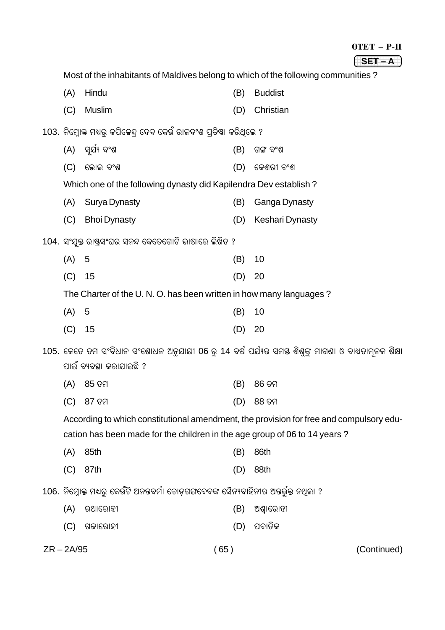|     |                                                                                   |     | OTET - P-II     |
|-----|-----------------------------------------------------------------------------------|-----|-----------------|
|     |                                                                                   |     | $SET - A$       |
|     | Most of the inhabitants of Maldives belong to which of the following communities? |     |                 |
| (A) | Hindu                                                                             | (B) | <b>Buddist</b>  |
| (C) | <b>Muslim</b>                                                                     | (D) | Christian       |
|     | 103. ନିମ୍ନୋକ୍ତ ମଧ୍ୟରୁ କପିଳେନ୍ଦ୍ର ଦେବ କେଉଁ ରାଜବଂଶ ପ୍ରତିଷା କରିଥିଲେ ?                |     |                 |
| (A) | ସ୍ୱର୍ଯ୍ୟ ବଂଶ                                                                      | (B) | ଗଙ୍ଗ ବଂଶ        |
| (C) | ଭୋଇ ବଂଶ                                                                           | (D) | କେଶରୀ ବଂଶ       |
|     | Which one of the following dynasty did Kapilendra Dev establish?                  |     |                 |
| (A) | Surya Dynasty                                                                     | (B) | Ganga Dynasty   |
| (C) | <b>Bhoi Dynasty</b>                                                               | (D) | Keshari Dynasty |
|     | 104. ସଂଯୁକ୍ତ ରାଷ୍ଟ୍ସଂଘର ସନନ୍ଦ କେତେଗୋଟି ଭାଷାରେ ଲିଖିତ ?                             |     |                 |
| (A) | 5                                                                                 | (B) | 10              |
| (C) | 15                                                                                | (D) | 20              |
|     | The Charter of the U.N.O. has been written in how many languages?                 |     |                 |
| (A) | 5                                                                                 | (B) | 10              |

| $(C)$ 15 |  |  | (D) 20 |  |
|----------|--|--|--------|--|

105. କେତେ ତମ ସଂବିଧାନ ସଂଶୋଧନ ଅନୁଯାୟୀ 06 ରୁ 14 ବର୍ଷ ପର୍ଯ୍ୟନ୍ତ ସମୟ ଶିଶୁଙ୍କୁ ମାଗଣା ଓ ବାଧ୍ୟତାମୂଳକ ଶିକ୍ଷା ପାଇଁ ବ୍ୟବସ୍ଥା କରାଯାଇଛି ?

| (A) 85 ତମ | (B) 86 ତମ |
|-----------|-----------|
| (C) 87 ତମ | (D) 88 ତମ |

According to which constitutional amendment, the provision for free and compulsory education has been made for the children in the age group of 06 to 14 years?

 $(65)$ 

| $(A)$ 85th | (B) 86th   |
|------------|------------|
| $(C)$ 87th | $(D)$ 88th |

106. ନିମ୍ନୋକ୍ତ ମଧ୍ୟରୁ କେଉଁଟି ଅନନ୍ତବର୍ମା ଚୋଡ଼ଗଙ୍ଗଦେବଙ୍କ ସୈନ୍ୟବାହିନୀର ଅନ୍ତର୍ଦ୍ଧୁକ୍ତ ନଥିଲା ?

| $(A)$ ରଥାରୋହୀ | (B) ଅଶ୍ୱାରୋହୀ |
|---------------|---------------|
| $(C)$ ଗଜାରୋହୀ | (D) ପଦାତିକ    |

(Continued)

 $ZR - 2A/95$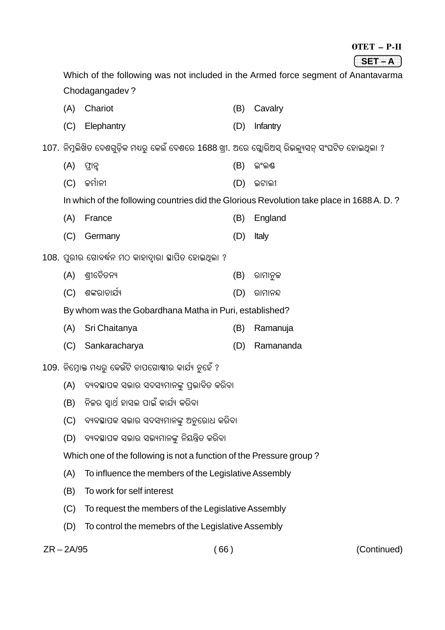| OTET | '' |
|------|----|
|      |    |

| <b>COMPANY</b><br>SЪ. |  |
|-----------------------|--|
| -                     |  |

. <del>. . .</del> . . . . . . . Which of the following was not included in the Armed force segment of Anantavarma Chodagangadev ? (A) Chariot (B) Cavalry (C) Elephantry (D) Infantry 107. ନିମ୍ନଲିଖିତ ଦେଶଗଡ଼ିକ ମଧ୍ୟର୍ କେଉଁ ଦେଶରେ 1688 ଖ୍ରୀ. ଅରେ ଗ୍ଲୋରିଅସ୍ ରିଭଲ୍ୟସନ୍ ସଂଘଟିତ ହୋଇଥିଲା ?  $(A)$  ଫାନ୍ଦ (B) ଇଂଲକ୍ଷ (C) fþöæœÿê (D) Bsæàÿê In which of the following countries did the Glorious Revolution take place in 1688 A. D. ? (A) France (B) England (C) Germany (D) Italy <u>108. ପରୀର ଗୋବର୍ଦ୍ଧନ ମଠ କାହାଦାରା ଛାପିତ ହୋଇଥିଲା ?</u> (A) É÷ê{`ÿð†ÿœÿ¿ (B) Àÿæþæœëÿf (C) ÉZÿÀÿæ`ÿæ¾ö¿ (D) Àÿæþæœÿ¢ÿ By whom was the Gobardhana Matha in Puri, established? (A) Sri Chaitanya (B) Ramanuja (C) Sankaracharya (D) Ramananda 109. ନିମ୍ବୋକ୍ତ ମଧ୍ୟର୍ କେଉଁଟି ଚାପଗୋଷ୍ଠୀର କାର୍ଯ୍ୟ ନହେଁ ? (A) ବ୍ୟବସ୍ଥାପକ ସଭାର ସଦସ୍ୟମାନଙ୍କ ପ୍ରଭାବିତ କରିବା (B) ନିଜର ସ୍ୱାର୍ଥ ହାସଲ ପାଇଁ କାର୍ଯ୍ୟ କରିବା (C) ବ୍ୟବସ୍ଥାପକ ସଭାର ସଦସ୍ୟମାନଙ୍କୁ ଅନୁରୋଧ କରିବା (D) ବ୍ୟବସ୍ଥାପକ ସଭାର ସଭ୍ୟମାନଙ୍କ ନିୟନ୍ତ୍ରିତ କରିବା Which one of the following is not a function of the Pressure group ? (A) To influence the members of the Legislative Assembly (B) To work for self interest (C) To request the members of the Legislative Assembly (D) To control the memebrs of the Legislative Assembly

ZR – 2A/95 ( 66 ) (Continued)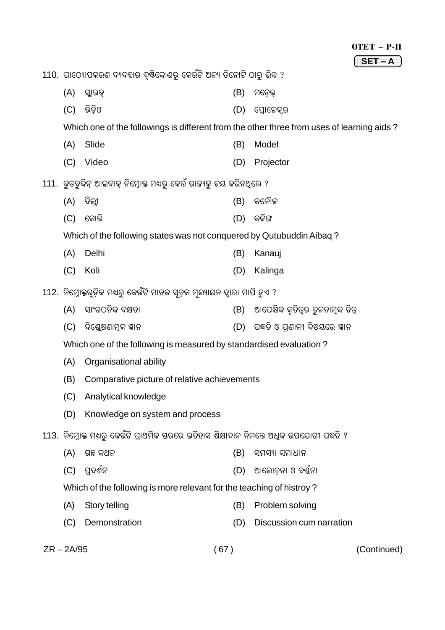110. ପାଠ୍ୟୋପକରଣ ବ୍ୟବହାର ଦୃଷ୍ଟିକୋଣରୁ କେଉଁଟି ଅନ୍ୟ ତିନୋଟି ଠାରୁ ଭିନ୍ନ ?

- $(A)$  ସ୍ଲାଇଡ୍  $(B)$  ମଡେଲ  $(C)$  ଇିଡିଓ (D) ପୋକେକ୍ସର Which one of the followings is different from the other three from uses of learning aids?  $(A)$ Slide (B) Model (C) Video (D) Projector 111. କୁତ୍ରବିଦିନ୍ ଆଇବାକ୍ ନିମ୍ରୋକ୍ତ ମଧ୍ୟରୁ କେଉଁ ରାଜ୍ୟକୁ ଜୟ କରିନଥିଲେ ? (A) ଦିଲ୍ଲୀ (B) କନୌଳ  $(D)$  କଳିଙ୍ଗ  $(C)$  କୋଲି Which of the following states was not conquered by Qutubuddin Aibaq? (A) Delhi (B) Kanauj (C) Koli (D) Kalinga 112. ନିମ୍ରୋକ୍ତଗଡ଼ିକ ମଧ୍ୟର୍ କେଉଁଟି ମାନକ ସ୍ତୃକ ମୂଲ୍ୟାୟନ ଦ୍ୱାରା ମାପି ହୁଏ ? (B) ଆପେକ୍ଷିକ କତିତ୍ୱର ତଳନାମକ ଚିତ୍ର (A) ସାଂଗଠନିକ ଦକ୍ଷତା (D) ପଦ୍ଧତି ଓ ପଣାଳୀ ବିଷୟରେ ଜ୍ଞାନ (C) ବିଶେଷଣାମକ ଜ୍ଞାନ Which one of the following is measured by standardised evaluation? (A) Organisational ability (B) Comparative picture of relative achievements (C) Analytical knowledge (D) Knowledge on system and process 113. ନିମ୍ନୋକ୍ତ ମଧ୍ୟରୁ କେଉଁଟି ପ୍ରାଥମିକ ସରରେ ଇତିହାସ ଶିକ୍ଷାଦାନ ନିମନ୍ତେ ଅଧିକ ଉପଯୋଗୀ ପଦ୍ଧତି ?  $(A)$  ଗଳ୍ପ କଥନ  $(B)$  ସମସ୍ୟା ସମାଧାନ (C) ପ୍ରଦର୍ଶନ (D) ଆଲୋଚନା ଓ ବର୍ଣ୍ଣନା Which of the following is more relevant for the teaching of histroy? (A) Story telling (B) Problem solving (D) Discussion cum narration (C) Demonstration
- $ZR 2A/95$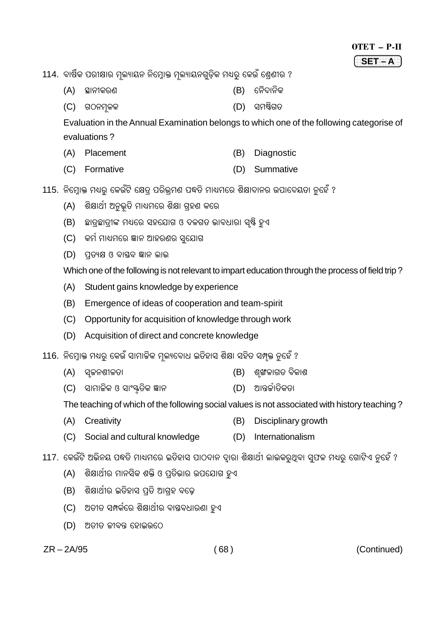114. ବାର୍ଷିକ ପରୀକ୍ଷାର ମୁଲ୍ୟାୟନ ନିମ୍ରୋକ୍ତ ମୁଲ୍ୟାୟନଗଡ଼ିକ ମଧ୍ୟର୍ କେଉଁ ଶ୍ରେଣୀର ?

- (B) ନୈଦାନିକ (A) ସ୍ଥାନୀକରଣ
- (D) ସମଷ୍ଟିଗତ  $(C)$  ଗଠନମ୍ବଳକ

Evaluation in the Annual Examination belongs to which one of the following categorise of evaluations?

- (A) Placement (B) Diagnostic
- (C) Formative (D) Summative

115. ନିମ୍ନୋକ୍ତ ମଧ୍ୟରୁ କେଉଁଟି କ୍ଷେତ୍ର ପରିଭ୍ରମଣ ପଦ୍ଧତି ମାଧ୍ୟମରେ ଶିକ୍ଷାଦାନର ଉପାଦେୟତା ନୁହେଁ ?

- ଶିକ୍ଷାର୍ଥୀ ଅନୁଭୂତି ମାଧ୍ୟମରେ ଶିକ୍ଷା ଗ୍ରହଣ କରେ  $(A)$
- (B) ଛାତ୍କଛାତ୍ରୀଙ୍କ ମଧ୍ୟରେ ସହଯୋଗ ଓ ଦଳଗତ ଭାବଧାରା ସ୍ଷି ହୁଏ
- (C) କର୍ମ ମାଧ୍ୟମରେ ଜ୍ଞାନ ଆହରଣର ସ୍ଯୋଗ
- (D) ପତ୍ୟକ୍ଷ ଓ ବାସ୍ତବ ଜ୍ଞାନ ଲାଭ

Which one of the following is not relevant to impart education through the process of field trip?

- $(A)$ Student gains knowledge by experience
- (B) Emergence of ideas of cooperation and team-spirit
- (C) Opportunity for acquisition of knowledge through work
- (D) Acquisition of direct and concrete knowledge

116. ନିମୋକ୍ତ ମଧ୍ୟର କେଉଁ ସାମାଜିକ ମଲ୍ୟବୋଧ ଇତିହାସ ଶିକ୍ଷା ସହିତ ସମ୍ପକ୍ତ ନହେଁ ?

- $(A)$  ସ୍ୱଚ୍ଚନଶୀଳତା (B) ଶ୍ଙ୍ଖଳାଗତ ବିକାଶ
- (C) ସାମାଜିକ ଓ ସାଂୟତିକ ଜ୍ଞାନ (D) ଆନ୍ତର୍ଜାତିକତା

The teaching of which of the following social values is not associated with history teaching?

- (A) Creativity (B) Disciplinary growth
- (D) Internationalism (C) Social and cultural knowledge

117. କେଉଁଟି ଅଭିନୟ ପଦ୍ଧତି ମାଧ୍ୟମରେ ଇତିହାସ ପାଠଦାନ ଦାରା ଶିକ୍ଷାର୍ଥୀ ଲାଭକର୍ଥିବା ସ୍ପଳ ମଧ୍ୟର୍ ଗୋଟିଏ ନହେଁ ?

- $(A)$ ଶିକ୍ଷାର୍ଥୀର ମାନସିକ ଶକ୍ତି ଓ ପ୍ତିଭାର ଉପଯୋଗ ହୁଏ
- (B) ଶିକ୍ଷାର୍ଥୀର ଇତିହାସ ପତି ଆଗହ ବଢ଼େ
- (C) ଅତୀତ ସମ୍ପର୍କରେ ଶିକ୍ଷାର୍ଥୀର ବାୟବଧାରଣା ହୁଏ
- (D) ଅତୀତ କୀବନ୍ତ ହୋଇଉଠେ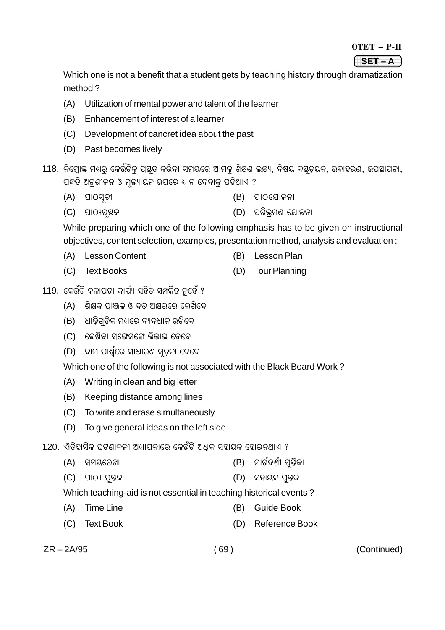#### $0TET - P-II$

 $(SET-A)$ 

Which one is not a benefit that a student gets by teaching history through dramatization method?

- $(A)$ Utilization of mental power and talent of the learner
- (B) Enhancement of interest of a learner
- (C) Development of cancret idea about the past
- (D) Past becomes lively
- 118. ନିମ୍ରୋକ୍ତ ମଧ୍ୟର୍ କେଉଁଟିକ୍ ପୃଷ୍ଠତ କରିବା ସମୟରେ ଆମକ୍ ଶିକ୍ଷଣ ଲକ୍ଷ୍ୟ, ବିଷୟ ବ୍ୟତୟନ, ଉଦାହରଣ, ଉପସ୍ଥାପନା, ପଦ୍ଧତି ଅନୁଶୀଳନ ଓ ମୁଲ୍ୟାୟନ ଉପରେ ଧ୍ୟାନ ଦେବାକୁ ପଡିଥାଏ ?
	- $(A)$  ପାଠସ୍ୱତୀ  $(B)$  ପାଠଯୋଜନା
	- (D) ପରିଭମଣ ଯୋକନା  $(C)$  ପାଠ୍ୟପ୍ତସକ

While preparing which one of the following emphasis has to be given on instructional objectives, content selection, examples, presentation method, analysis and evaluation:

- (A) Lesson Content
- (C) Text Books
- (B) Lesson Plan
- (D) Tour Planning
- 119. କେଉଁଟି କଳାପଟା କାର୍ଯ୍ୟ ସହିତ ସମ୍ପର୍କିତ ନହେଁ ?
	- (A) ଶିକ୍ଷକ ପ୍ରାଞ୍ଜଳ ଓ ବଡ଼ ଅକ୍ଷରରେ ଲେଖିବେ
	- (B) ଧାଡ଼ିଗୁଡ଼ିକ ମଧ୍ୟରେ ବ୍ୟବଧାନ ରଖିବେ
	- (C) କେଖିବା ସଙ୍ଗେସଙ୍ଗେ ଲିଭାଇ ଦେବେ
	- (D) ବାମ ପାର୍ଶ୍ୱରେ ସାଧାରଣ ସ୍ୱଚନା ଦେବେ

Which one of the following is not associated with the Black Board Work?

- (A) Writing in clean and big letter
- (B) Keeping distance among lines
- (C) To write and erase simultaneously
- To give general ideas on the left side  $(D)$
- 120. ଐତିହାସିକ ଘଟଣାବଳୀ ଅଧ୍ୟାପନାରେ କେଉଁଟି ଅଧକ ସହାୟକ ହୋଇନଥାଏ ?
	- (B) ମାର୍ଗଦର୍ଶୀ ପ୍ରିକା (A) ସମୟରେଖା
	- $(C)$  ପାଠ୍ୟ ପୁଷକ (D) ସହାୟକ ପୁସ୍ତକ
	- Which teaching-aid is not essential in teaching historical events?
	- $(A)$ **Time Line** (B) Guide Book
	- (D) Reference Book (C) Text Book

 $ZR - 2A/95$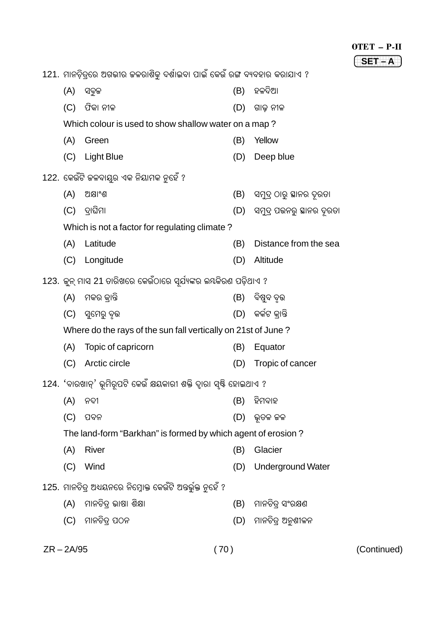OTET – P-II

**(SET – A**)

|                                                               | 121. ମାନଚିତ୍ରରେ ଅଗଭୀର ଜଳରାଶିକୁ ଦର୍ଶାଇବା ପାଇଁ କେଉଁ ରଙ୍ଗ ବ୍ୟବହାର କରାଯାଏ ? |     |                             |
|---------------------------------------------------------------|-------------------------------------------------------------------------|-----|-----------------------------|
| (A)                                                           | ସବୁଜ                                                                    | (B) | ହଳଦିଆ                       |
| (C)                                                           | ଫିକା ନୀଳ                                                                | (D) | ଗାଢ଼ ନୀଳ                    |
|                                                               | Which colour is used to show shallow water on a map?                    |     |                             |
| (A)                                                           | Green                                                                   | (B) | Yellow                      |
|                                                               | (C) Light Blue                                                          | (D) | Deep blue                   |
|                                                               | 122. କେଉଁଟି ଜଳବାୟୁର ଏକ ନିୟାମକ ନୁହେଁ ?                                   |     |                             |
| (A)                                                           | ଅକ୍ଷାଂଶ                                                                 | (B) | ସମୁଦ୍ର ଠାରୁ ଛାନର ଦୂରତା      |
| (C)                                                           | ଦ୍ୱାଘିମା                                                                | (D) | ସମୁଦ୍ର ପତ୍ତନରୁ ସ୍ଥାନର ଦୂରତା |
|                                                               | Which is not a factor for regulating climate?                           |     |                             |
| (A)                                                           | Latitude                                                                | (B) | Distance from the sea       |
| (C)                                                           | Longitude                                                               | (D) | Altitude                    |
|                                                               | 123.  କୁନ୍ ମାସ 21 ତାରିଖରେ କେଉଁଠାରେ ସୂର୍ଯ୍ୟଙ୍କର ଲୟକିରଣ ପଡ଼ିଥାଏ ?         |     |                             |
| (A)                                                           | ମକର କ୍ରାନ୍ତି                                                            |     | (B)   ବିଷୁବ ବୃତ୍ତ           |
| (C)                                                           | ସ୍ୱମେରୁ ବୃତ୍ତ                                                           |     | (D)  କର୍କଟ କାନ୍ତି           |
| Where do the rays of the sun fall vertically on 21st of June? |                                                                         |     |                             |
| (A)                                                           | Topic of capricorn                                                      | (B) | Equator                     |
| (C)                                                           | Arctic circle                                                           | (D) | Tropic of cancer            |
|                                                               | 124. 'ବାରଖାନ୍' ଭୂମିରୂପଟି କେଉଁ କ୍ଷୟକାରୀ ଶକ୍ତି ଦ୍ୱାରା ସୃଷ୍ଟି ହୋଇଥାଏ ?     |     |                             |
| (A)                                                           | ନଦୀ                                                                     | (B) | ହିମବାହ                      |
| (C)                                                           | ପବନ                                                                     | (D) | ଭୂତଳ ଜଳ                     |
|                                                               | The land-form "Barkhan" is formed by which agent of erosion?            |     |                             |
| (A)                                                           | River                                                                   | (B) | Glacier                     |
| (C)                                                           | Wind                                                                    | (D) | <b>Underground Water</b>    |
|                                                               | 125. ମାନଚିତ୍ର ଅଧ୍ୟନରେ ନିମ୍ନୋକ୍ତ କେଉଁଟି ଅତ୍ତର୍ଭୁକ୍ତ ନୁହେଁ ?              |     |                             |
| (A)                                                           | ମାନଚିତ୍ର ଭାଷା ଶିକ୍ଷା                                                    | (B) | ମାନଚିତ୍ ସଂରକ୍ଷଣ             |
| (C)                                                           | ମାନଚିତ୍ର ପଠନ                                                            | (D) | ମାନଚିତ୍ର ଅନୁଶୀଳନ            |

ZR – 2A/95 ( 70 ) (Continued)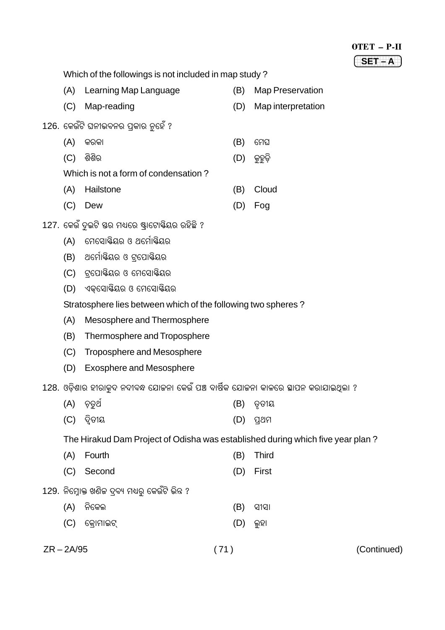| OTET      | P.II |
|-----------|------|
| ΞTΙ<br>s. |      |

Which of the followings is not included in map study?

- (A) Learning Map Language (B) Map Preservation
- (C) Map-reading (D) Map interpretation
- 126. କେଉଁଟି ଘନୀଭବନର ପକାର ନହେଁ ?
	- $(A)$  କରକା
	- (C) ଶିଶିର
	- Which is not a form of condensation?
	- Hailstone  $(A)$
	- (C) Dew
- 127, କେଉଁ ଦଇଟି ସ୍ତର ମଧ୍ୟରେ ଷ୍ଟାଟୋକ୍ଟିୟର ରହିଛି ?
	- (A) ମେସୋକ୍ତିୟର ଓ ଥର୍ମୋକ୍ତିୟର
	- (B) ଥର୍ମୋଷିୟର ଓ ଟ୍ରପୋଷିୟର
	- (C) ଟ୍ରୋକ୍ଷିୟର ଓ ମେସୋକ୍ଷିୟର
	- (D) ଏକସୋକ୍ତିୟର ଓ ମେସୋକ୍ତିୟର

Stratosphere lies between which of the following two spheres?

- (A) Mesosphere and Thermosphere
- Thermosphere and Troposphere  $(B)$
- (C) Troposphere and Mesosphere
- (D) Exosphere and Mesosphere

128. ଓଡ଼ିଶାର ହୀରାକ୍ଦ ନଦୀବନ୍ଧ ଯୋଜନା କେଉଁ ପଞ୍ଚ ବାର୍ଷିକ ଯୋଜନା କାଳରେ ସ୍ଥାପନ କରାଯାଇଥିଲା ?

- $(A)$  ଚ଼ୁତର୍ଥ  $(B)$   $Q$  $Q1Q$
- $(C)$  ଦିତୀୟ  $(D)$  ପ୍ରଥମ

The Hirakud Dam Project of Odisha was established during which five year plan?

- (A) Fourth Third  $(B)$
- (C) Second (D) First
- 129. ନିମ୍ନୋକ୍ତ ଖଣିକ ଦ୍ୱବ୍ୟ ମଧ୍ୟର୍ କେଉଁଟି ଭିନ୍ନ ?
	- $(A)$  ନିକେଲ  $(B)$  ସୀସା  $(C)$  କୋମାଇଟ୍  $(D)$  ଲୁହା

(Continued)

 $ZR - 2A/95$ 

 $(71)$ 

- (B) ମେଘ
- $(D)$  କୁହୁଡ଼ି
- (B) Cloud
	- $(D)$  Fog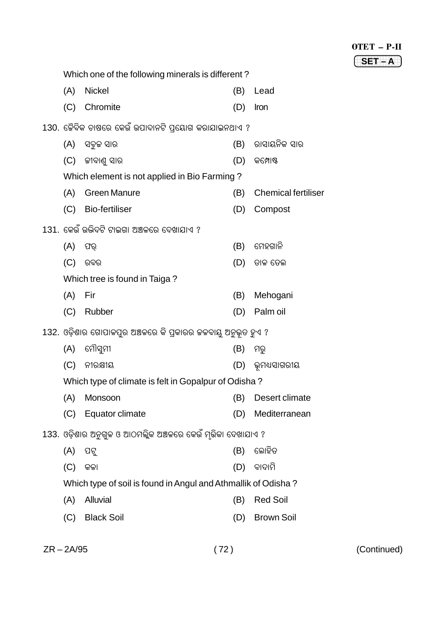| <b>OTET</b> |  | P.II |
|-------------|--|------|
|             |  |      |

| SET | т |
|-----|---|
|     |   |
|     |   |

|                               | Which one of the following minerals is different?             |                                              |     |                            |
|-------------------------------|---------------------------------------------------------------|----------------------------------------------|-----|----------------------------|
|                               | (A)                                                           | <b>Nickel</b>                                | (B) | Lead                       |
|                               | (C)                                                           | Chromite                                     | (D) | Iron                       |
|                               | 130. ଜୈବିକ ଚାଷରେ କେଉଁ ଉପାଦାନଟି ପ୍ରୟୋଗ କରାଯାଇନଥାଏ ?            |                                              |     |                            |
|                               | (A)                                                           | ସବୁଜ ସାର                                     | (B) | ରାସାୟନିକ ସାର               |
|                               | (C)                                                           | ଜୀବାଣୁ ସାର                                   | (D) | କମ୍ପୋଷ୍ଟ                   |
|                               |                                                               | Which element is not applied in Bio Farming? |     |                            |
|                               | (A)                                                           | <b>Green Manure</b>                          | (B) | <b>Chemical fertiliser</b> |
|                               | (C)                                                           | <b>Bio-fertiliser</b>                        | (D) | Compost                    |
|                               |                                                               | 131. କେଉଁ ଉଭିଦଟି ଟାଇଗା ଅଞ୍ଚଳରେ ଦେଖାଯାଏ ?     |     |                            |
|                               | (A)                                                           | ଫର୍                                          | (B) | ମେହଗାନି                    |
|                               | (C)                                                           | ରବର                                          | (D) | ତାଳ ତେଲ                    |
| Which tree is found in Taiga? |                                                               |                                              |     |                            |
|                               | (A)                                                           | Fir                                          | (B) | Mehogani                   |
|                               | (C)                                                           | Rubber                                       | (D) | Palm oil                   |
|                               | 132. ଓଡ଼ିଶାର ଗୋପାଳପୁର ଅଞ୍ଚଳରେ କି ପ୍ରକାରର ଜଳବାୟୁ ଅନୁଭୂତ ହୁଏ ?  |                                              |     |                            |
|                               | (A)                                                           | ମୌସୁମୀ                                       | (B) | ମରୁ                        |
|                               | (C)                                                           | ନୀରକ୍ଷୀୟ                                     | (D) | ଭୂମଧ୍ୟସାଗରୀୟ               |
|                               | Which type of climate is felt in Gopalpur of Odisha?          |                                              |     |                            |
|                               | (A)                                                           | Monsoon                                      | (B) | Desert climate             |
|                               | (C)                                                           | Equator climate                              | (D) | Mediterranean              |
|                               | 133. ଓଡ଼ିଶାର ଅନୁଗୁଳ ଓ ଆଠମଲ୍ଲିକ ଅଞ୍ଚଳରେ କେଉଁ ମୂଭିକା ଦେଖାଯାଏ ?  |                                              |     |                            |
|                               | (A)                                                           | ପଟୁ                                          | (B) | ଲୋହିତ                      |
|                               | (C)                                                           | କଳା                                          | (D) | ବାଦାମି                     |
|                               | Which type of soil is found in Angul and Athmallik of Odisha? |                                              |     |                            |
|                               | (A)                                                           | Alluvial                                     | (B) | <b>Red Soil</b>            |
|                               | (C)                                                           | <b>Black Soil</b>                            | (D) | <b>Brown Soil</b>          |
|                               |                                                               |                                              |     |                            |

ZR – 2A/95 ( 72 ) (Continued)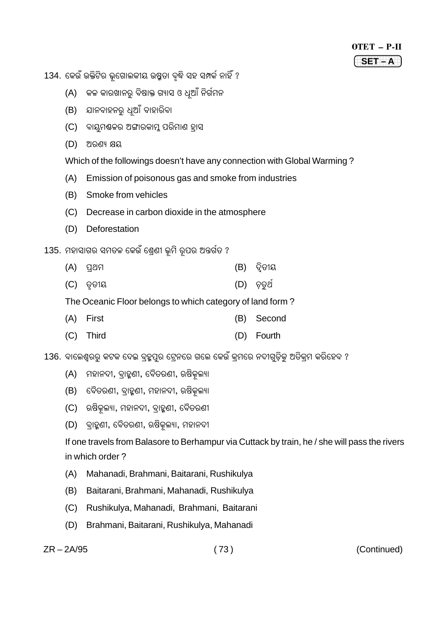| OTET | 2.II |
|------|------|
|      |      |

134. କେଉଁ ଉକ୍ତିଟିର ଭୂଗୋଲକୀୟ ଉଷୁତା ବୃଦ୍ଧି ସହ ସମ୍ପର୍କ ନାହିଁ ?

- (A) କଳ କାରଖାନରୁ ବିଷାକ୍ତ ଗ୍ୟାସ ଓ ଧୂଆଁ ନିର୍ଗମନ
- ଯାନବାହନରୁ ଧୁଆଁ ବାହାରିବା  $(B)$
- (C) ବାୟମ୍ଭକର ଅଙ୍ଗାରକାମ୍ ପରିମାଣ ହାସ
- $(D)$  ଅରଣ୍ୟ କ୍ଷୟ

Which of the followings doesn't have any connection with Global Warming?

- $(A)$ Emission of poisonous gas and smoke from industries
- Smoke from vehicles  $(B)$
- (C) Decrease in carbon dioxide in the atmosphere
- (D) Deforestation

## 135. ମହାସାଗର ସମତଳ କେଉଁ ଶ୍ରେଣୀ ଭୂମି ରୂପର ଅନ୍ତର୍ଗତ ?

- $(A)$  ପଥମ  $(B)$  ଦିତୀୟ
- $(D)$  ଚତ $2$  $(C)$   $QQ1Q$

The Oceanic Floor belongs to which category of land form?

- (B) Second (A) First
- (C) Third (D) Fourth

136. ବାଲେଶ୍ୱରର୍ କଟକ ଦେଇ ବ୍ହୃତ୍ପର ଟ୍ରେନରେ ଗଲେ କେଉଁ କ୍ମରେ ନଦୀଗଡ଼ିକ ଅତିକ୍ମ କରିହେବ ?

- (A) ମହାନଦୀ, ବ୍ରାହୁଣୀ, ବୈତରଣୀ, ଋଷିକଲ୍ୟା
- (B) ବୈତରଣୀ, ବାହୁଣୀ, ମହାନଦୀ, ଋଷିକଲ୍ୟା
- (C) ଋଷିକୁଲ୍ୟା, ମହାନଦୀ, ବ୍ୱାହୁଣୀ, ବୈତରଣୀ
- (D) ବ୍ରାହ୍ମଣୀ, ବୈତରଣୀ, ଋଷିକୂଲ୍ୟା, ମହାନଦୀ

If one travels from Balasore to Berhampur via Cuttack by train, he / she will pass the rivers in which order?

- $(A)$ Mahanadi, Brahmani, Baitarani, Rushikulya
- $(B)$ Baitarani, Brahmani, Mahanadi, Rushikulya
- (C) Rushikulya, Mahanadi, Brahmani, Baitarani
- (D) Brahmani, Baitarani, Rushikulya, Mahanadi

 $ZR - 2A/95$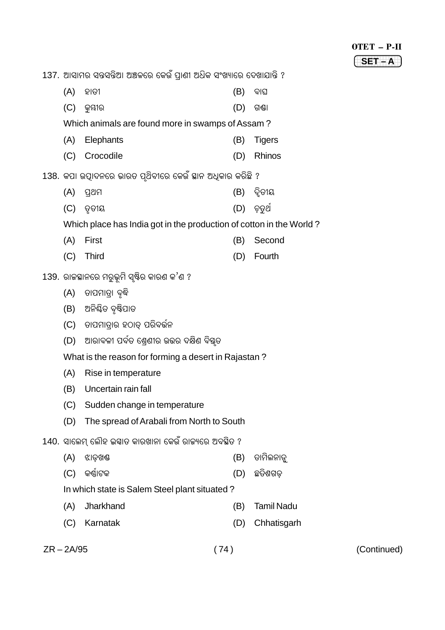$OTET - P-II$  $SET - A$ 

(Continued)

137. ଆସାମର ସନ୍ତସନ୍ତିଆ ଅଞ୍ଚଳରେ କେଉଁ ପ୍ରାଣୀ ଅଧିକ ସଂଖ୍ୟାରେ ଦେଖାଯାନ୍ତି ?  $(A)$  ହାତୀ  $(B)$  ବାଘ  $(C)$  କ୍ରମ୍ଭୀର  $(D)$  ଗଣ୍ଡା Which animals are found more in swamps of Assam? Elephants  $(A)$  $(B)$ **Tigers** (C) Crocodile (D) Rhinos 138. କପା ଉପାଦନରେ ଭାରତ ପ୍ରଥିବୀରେ କେଉଁ ସ୍ଥାନ ଅଧିକାର କରିଛି ?  $(A)$  ପ୍ରଥମ  $(B)$  ଦିତୀୟ  $(C)$  ତୃତୀୟ  $(D)$  ଚ଼ୁତଥ Which place has India got in the production of cotton in the World? (A) First (B) Second  $(C)$ **Third** (D) Fourth 139. ରାଜସ୍ଥାନରେ ମରୁଭୂମି ସୃଷ୍ଟିର କାରଣ କ'ଣ ? (A) ତାପମାତ୍ରା ବୃଦ୍ଧି (B) ଅନିଶ୍ଚିତ ବୃଷ୍ଟିପାତ (C) ତାପମାତାର ହଠାତ୍ ପରିବର୍ତ୍ତନ (D) ଆରାବଳୀ ପର୍ବତ ଶ୍ରେଣୀର ଉତ୍ତର ଦକ୍ଷିଣ ବିଷ୍ଟୁତ What is the reason for forming a desert in Rajastan?  $(A)$ Rise in temperature (B) Uncertain rain fall (C) Sudden change in temperature (D) The spread of Arabali from North to South 140. ସାଲେମ ଲୌହ ଇସ୍କାତ କାରଖାନା କେଉଁ ରାଜ୍ୟରେ ଅବସ୍ଥିତ ?  $(A)$ ଝାଡଖଣ୍ଡ (B) ତାମିଲନାଡ଼ (C) କର୍ଣ୍ଣାଟକ (D) ଛତିଶଗଡ଼ In which state is Salem Steel plant situated?  $(A)$ Jharkhand (B) Tamil Nadu (D) Chhatisgarh (C) Karnatak  $ZR - 2A/95$  $(74)$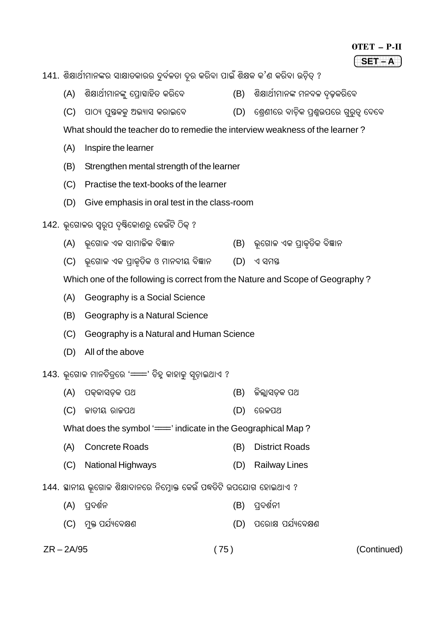| OTET | P-II |
|------|------|
|------|------|

 $SET - A$ 

141. ଶିକ୍ଷାର୍ଥୀମାନଙ୍କର ସାକ୍ଷାତକାରର ଦୁର୍ବଳତା ଦୂର କରିବା ପାଇଁ ଶିକ୍ଷକ କ'ଣ କରିବା ଉଚିତ୍ ?

- (A) ଶିକ୍ଷାର୍ଥୀମାନଙ୍କ୍ ପ୍ରୋହାହିତ କରିବେ (B) ଶିକ୍ଷାର୍ଥୀମାନଙ୍କ ମନବଳ ଦୂଢ଼କରିବେ
- (C) ପାଠ୍ୟ ପୁୟକକୁ ଅଭ୍ୟାସ କରାଇବେ (D) ଶ୍ୱେଣୀରେ ବାଚିକ ପଶ୍ଚଉପରେ ଗ୍ରର୍ଡ୍ ଦେବେ

What should the teacher do to remedie the interview weakness of the learner?

- $(A)$ Inspire the learner
- $(B)$ Strengthen mental strength of the learner
- (C) Practise the text-books of the learner
- (D) Give emphasis in oral test in the class-room
- 142. ଭଗୋଳର ସ୍ୱର୍ପ ଦୃଷ୍ଟିକୋଣର୍ କେଉଁଟି ଠିକ୍ ?
	- (A) ଭଗୋଳ ଏକ ସାମାଜିକ ବିଜ୍ଞାନ (B) ଭ୍ରଗୋଳ ଏକ ପ୍ରାକୃତିକ ବିଜ୍ଞାନ
	- (C) ଭୂଗୋଳ ଏକ ପ୍ରାକୃତିକ ଓ ମାନବୀୟ ବିଜ୍ଞାନ (D) ଏ ସମୟ

Which one of the following is correct from the Nature and Scope of Geography?

- (A) Geography is a Social Science
- (B) Geography is a Natural Science
- (C) Geography is a Natural and Human Science
- (D) All of the above

### 143. ଭୂଗୋଳ ମାନଚିତ୍ରରେ '==" ଚିହୁ କାହାକୁ ସ୍ୱଚାଇଥାଏ ?

- (A) ପକକାସଡକ ପଥ (B) ଜିଲାସଡକ ପଥ
- (C) ଜାତୀୟ ରାଜପଥ  $(D)$  ରେଳପଥ

What does the symbol '= indicate in the Geographical Map?

- (A) Concrete Roads (B) District Roads
- (C) National Highways (D) Railway Lines
- 144. ସ୍ଥାନୀୟ ଭୂଗୋଳ ଶିକ୍ଷାଦାନରେ ନିମ୍ରୋକ୍ତ କେଉଁ ପଦ୍ଧତିଟି ଉପଯୋଗ ହୋଇଥାଏ ?
	- (A) ପ୍ରଦର୍ଶନ (B) ପ୍ରଦର୍ଶନୀ
	- (C) ମ୍ଭ ପର୍ଯ୍ୟବେକ୍ଷଣ (D) ପରୋକ୍ଷ ପର୍ଯ୍ୟବେକ୍ଷଣ

 $ZR - 2A/95$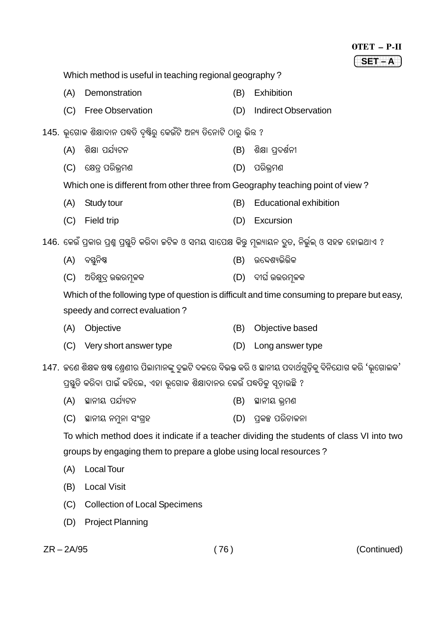|                                                                                              |                                                                                                           |     | OTET - P-II                                                                                               |
|----------------------------------------------------------------------------------------------|-----------------------------------------------------------------------------------------------------------|-----|-----------------------------------------------------------------------------------------------------------|
|                                                                                              |                                                                                                           |     | $SET - A$                                                                                                 |
|                                                                                              | Which method is useful in teaching regional geography?                                                    |     |                                                                                                           |
| (A)                                                                                          | Demonstration                                                                                             | (B) | <b>Exhibition</b>                                                                                         |
| (C)                                                                                          | <b>Free Observation</b>                                                                                   | (D) | <b>Indirect Observation</b>                                                                               |
|                                                                                              | 145. ଭୂଗୋଳ ଶିକ୍ଷାଦାନ ପଦ୍ଧତି ଦୃଷ୍ଟିରୁ କେଉଁଟି ଅନ୍ୟ ତିନୋଟି ଠାରୁ ଭିନ୍ନ ?                                      |     |                                                                                                           |
| (A)                                                                                          | ଶିକ୍ଷା ପର୍ଯ୍ୟଟନ                                                                                           | (B) | ଶିକ୍ଷା ପ୍ରଦର୍ଶନୀ                                                                                          |
| (C)                                                                                          | କ୍ଷେତ୍ର ପରିଭ୍ରମଣ                                                                                          | (D) | ପରିଭ୍ରମଣ                                                                                                  |
|                                                                                              | Which one is different from other three from Geography teaching point of view?                            |     |                                                                                                           |
| (A)                                                                                          | Study tour                                                                                                | (B) | <b>Educational exhibition</b>                                                                             |
| (C)                                                                                          | Field trip                                                                                                | (D) | Excursion                                                                                                 |
|                                                                                              | 146. କେଉଁ ପ୍ରକାର ପ୍ରଶ୍ନ ପ୍ରସ୍ତୁତି କରିବା ଜଟିଳ ଓ ସମୟ ସାପେକ୍ଷ କିନ୍ତୁ ମୂଲ୍ୟାୟନ ଦ୍ରୁତ, ନିର୍ଭୁଲ୍ ଓ ସହଜ ହୋଇଥାଏ ? |     |                                                                                                           |
| (A)                                                                                          | ବସ୍ତୁନିଷ୍ଠ                                                                                                | (B) | ଉଦ୍ଦେଶ୍ୟଭିତ୍ତିକ                                                                                           |
| (C)                                                                                          | ଅତିକ୍ଷୁଦ୍ର ଉତ୍ତରମୂଳକ                                                                                      | (D) | ଦୀର୍ଘ ଉତ୍ତରମୂଳକ                                                                                           |
| Which of the following type of question is difficult and time consuming to prepare but easy, |                                                                                                           |     |                                                                                                           |
|                                                                                              | speedy and correct evaluation?                                                                            |     |                                                                                                           |
| (A)                                                                                          | Objective                                                                                                 | (B) | Objective based                                                                                           |
| (C)                                                                                          | Very short answer type                                                                                    | (D) | Long answer type                                                                                          |
|                                                                                              |                                                                                                           |     | 147. ଜଣେ ଶିକ୍ଷକ ଷଷ ଶ୍ରେଣୀର ପିଲାମାନଙ୍କୁ ଦୁଇଟି ଦଳରେ ବିଭକ୍ତ କରି ଓ ସ୍ଥାନୀୟ ପଦାର୍ଥଗୁଡ଼ିକୁ ବିନିଯୋଗ କରି 'ଭୂଗୋଲକ' |
| ପ୍ରସ୍ତୁତି କରିବା ପାଇଁ କହିଲେ, ଏହା ଭୂଗୋଳ ଶିକ୍ଷାଦାନର କେଉଁ ପଦ୍ଧତିକୁ ସୂଚାଉଛି ?                     |                                                                                                           |     |                                                                                                           |
| (A)                                                                                          | ସ୍ଥାନୀୟ ପର୍ଯ୍ୟଟନ                                                                                          | (B) | ସ୍ଥାନୀୟ ଭ୍ରମଣ                                                                                             |
| (C)                                                                                          | ସ୍ଥାନୀୟ ନମୁନା ସଂଗ୍ରହ                                                                                      | (D) | ପ୍ରକଳ୍ପ ପରିଚାଳନା                                                                                          |
| To which method does it indicate if a teacher dividing the students of class VI into two     |                                                                                                           |     |                                                                                                           |
|                                                                                              | groups by engaging them to prepare a globe using local resources?                                         |     |                                                                                                           |
| (A)                                                                                          | <b>Local Tour</b>                                                                                         |     |                                                                                                           |
|                                                                                              |                                                                                                           |     |                                                                                                           |

- (B) Local Visit
- (C) Collection of Local Specimens
- (D) Project Planning

 $ZR - 2A/95$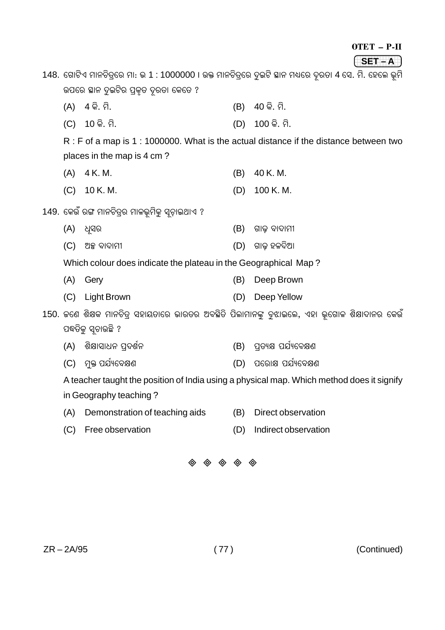| OTET |  |  |
|------|--|--|
|------|--|--|

 $SET - A$ 148. ଗୋଟିଏ ମାନଚିତ୍ରରେ ମା: ଭ 1 : 1000000 । ଉକ୍ତ ମାନଚିତ୍ରରେ ଦୁଇଟି ସ୍ଥାନ ମଧ୍ୟରେ ଦୂରତା 4 ସେ. ମି. ହେଲେ ଭୂମି ଉପରେ ଛାନ ଦୁଇଟିର ପ୍ରକୃତ ଦୂରତା କେତେ ?  $(A)$  4 କି. ମି. (B) 40 କି. ମି.  $(C)$  10 କି. ମି.  $(D)$  100 $\hat{\mathcal{G}}$ . ମି. R: F of a map is 1: 1000000. What is the actual distance if the distance between two places in the map is 4 cm?  $(B)$  40 K.M.  $(A) 4K.M.$  $(C)$  10 K.M.  $(D)$  100 K.M. 149. କେଉଁ ରଙ୍ଗ ମାନଚିତ୍ରର ମାଳଭୂମିକୁ ସୂଚାଇଥାଏ ? (A) ଧ୍ୟର  $(B)$  ଗାଢ଼ ବାଦାମୀ (D) ଗାଢ଼ ହଳଦିଆ  $(C)$  ଅକ୍ସ ବାଦାମୀ Which colour does indicate the plateau in the Geographical Map? (A) Gery (B) Deep Brown (C) Light Brown (D) Deep Yellow 150. ଜଣେ ଶିକ୍ଷକ ମାନଚିତ୍ର ସହାୟତାରେ ଭାରତର ଅବସ୍ଥିତି ପିଲାମାନଙ୍କୁ ବୁଝାଇଲେ, ଏହା ଭୂଗୋଳ ଶିକ୍ଷାଦାନର କେଉଁ ପଦ୍ଧତିକୁ ସୂଚାଉଛି ? (A) ଶିକ୍ଷାସାଧନ ପ୍ରଦର୍ଶନ (B) ପତ୍ୟକ୍ଷ ପର୍ଯ୍ୟବେକ୍ଷଣ (C) ମ୍ଭ ପର୍ଯ୍ୟବେକ୍ଷଣ (D) ପରୋକ୍ଷ ପର୍ଯ୍ୟବେକ୍ଷଣ A teacher taught the position of India using a physical map. Which method does it signify in Geography teaching? (A) Demonstration of teaching aids (B) Direct observation (C) Free observation (D) Indirect observation

 $\begin{array}{ccc}\n\otimes & \otimes & \otimes & \otimes & \otimes\n\end{array}$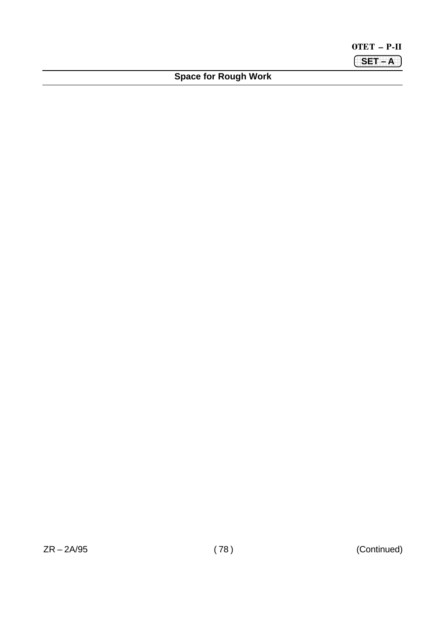OTET – P-II **(SET – A**)

**Space for Rough Work**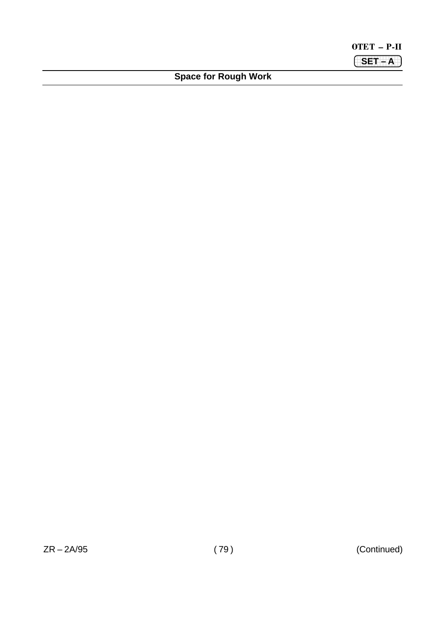OTET – P-II **(SET – A**)

**Space for Rough Work**